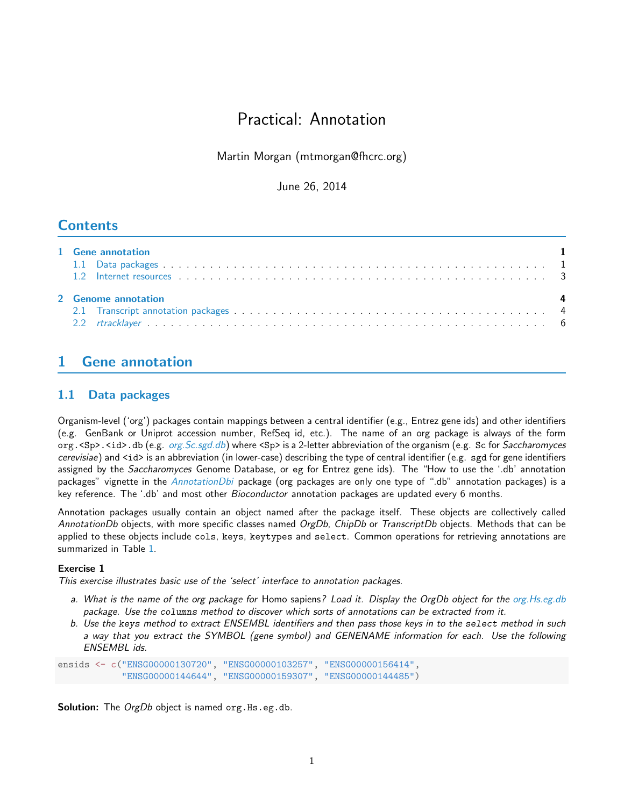# Practical: Annotation

Martin Morgan (mtmorgan@fhcrc.org)

June 26, 2014

## **Contents**

| 1 Gene annotation<br>$\blacksquare$ |  |
|-------------------------------------|--|
| 2 Genome annotation                 |  |

## <span id="page-0-0"></span>1 Gene annotation

## <span id="page-0-1"></span>1.1 Data packages

Organism-level ('org') packages contain mappings between a central identifier (e.g., Entrez gene ids) and other identifiers (e.g. GenBank or Uniprot accession number, RefSeq id, etc.). The name of an org package is always of the form org. <Sp>. <id>.db (e.g. *[org.Sc.sgd.db](http://bioconductor.org/packages/release/data/annotation/html/org.Sc.sgd.db.html)*) where <Sp> is a 2-letter abbreviation of the organism (e.g. Sc for Saccharomyces cerevisiae) and <id> is an abbreviation (in lower-case) describing the type of central identifier (e.g. sgd for gene identifiers assigned by the Saccharomyces Genome Database, or eg for Entrez gene ids). The "How to use the '.db' annotation packages" vignette in the [AnnotationDbi](http://bioconductor.org/packages/release/bioc/html/AnnotationDbi.html) package (org packages are only one type of ".db" annotation packages) is a key reference. The '.db' and most other *Bioconductor* annotation packages are updated every 6 months.

Annotation packages usually contain an object named after the package itself. These objects are collectively called AnnotationDb objects, with more specific classes named OrgDb, ChipDb or TranscriptDb objects. Methods that can be applied to these objects include cols, keys, keytypes and select. Common operations for retrieving annotations are summarized in Table [1.](#page-1-1)

## Exercise 1

This exercise illustrates basic use of the 'select' interface to annotation packages.

- a. What is the name of the org package for Homo sapiens? Load it. Display the OrgDb object for the [org.Hs.eg.db](http://bioconductor.org/packages/release/bioc/html/org.Hs.eg.db.html) package. Use the columns method to discover which sorts of annotations can be extracted from it.
- b. Use the keys method to extract ENSEMBL identifiers and then pass those keys in to the select method in such a way that you extract the SYMBOL (gene symbol) and GENENAME information for each. Use the following ENSEMBL ids.

ensids <- c("ENSG00000130720", "ENSG00000103257", "ENSG00000156414", "ENSG00000144644", "ENSG00000159307", "ENSG00000144485")

Solution: The OrgDb object is named org. Hs.eg.db.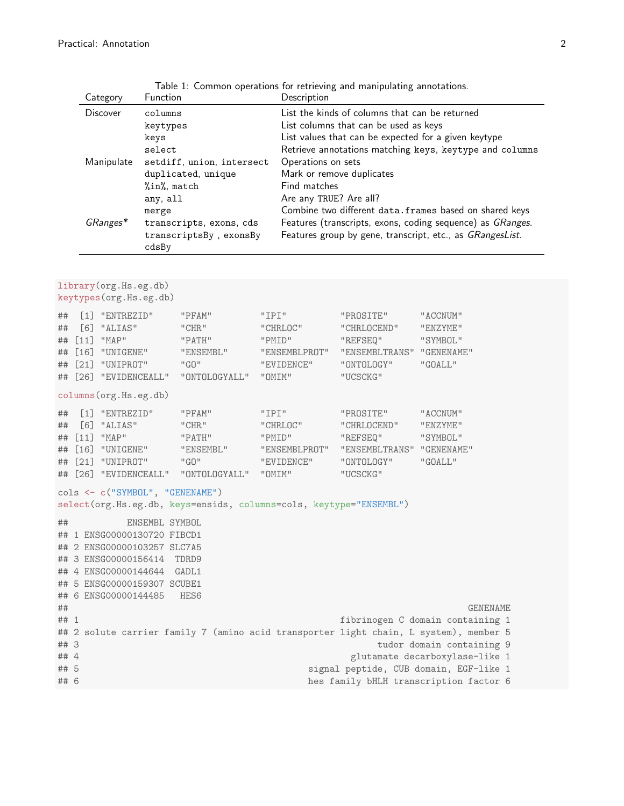|                                  |                                                                              | Category                                                                                                                                                                                                                                | Function |                           |                                         | Description<br>List the kinds of columns that can be returned<br>List columns that can be used as keys<br>List values that can be expected for a given keytype<br>Retrieve annotations matching keys, keytype and columns<br>Operations on sets<br>Mark or remove duplicates<br>Find matches<br>Are any TRUE? Are all?<br>Combine two different data.frames based on shared keys<br>Features (transcripts, exons, coding sequence) as GRanges.<br>Features group by gene, transcript, etc., as GRangesList. |                                             |  |  |  |  |
|----------------------------------|------------------------------------------------------------------------------|-----------------------------------------------------------------------------------------------------------------------------------------------------------------------------------------------------------------------------------------|----------|---------------------------|-----------------------------------------|-------------------------------------------------------------------------------------------------------------------------------------------------------------------------------------------------------------------------------------------------------------------------------------------------------------------------------------------------------------------------------------------------------------------------------------------------------------------------------------------------------------|---------------------------------------------|--|--|--|--|
|                                  |                                                                              | <b>Discover</b><br>columns<br>keytypes<br>keys<br>select<br>Manipulate<br>setdiff, union, intersect<br>duplicated, unique<br>%in%, match<br>any, all<br>merge<br>GRanges*<br>transcripts, exons, cds<br>transcriptsBy, exonsBy<br>cdsBy |          |                           |                                         |                                                                                                                                                                                                                                                                                                                                                                                                                                                                                                             |                                             |  |  |  |  |
|                                  |                                                                              | library (org. Hs.eg.db)<br>keytypes(org.Hs.eg.db)                                                                                                                                                                                       |          |                           |                                         |                                                                                                                                                                                                                                                                                                                                                                                                                                                                                                             |                                             |  |  |  |  |
| ##<br>##<br>##<br>##<br>##<br>## | $\lceil 1 \rceil$<br>[6]<br>$[11]$<br>$\lceil 16 \rceil$<br>$[21]$<br>$[26]$ | "ENTREZID"<br>"PFAM"<br>"ALIAS"<br>"CHR"<br>"MAP"<br>"PATH"<br>"UNIGENE"<br>"ENSEMBL"<br>"UNIPROT"<br>"GD"<br>"EVIDENCEALL"<br>"ONTOLOGYALL"                                                                                            |          | "IPI"<br>"PMID"<br>"OMIM" | "CHRLOC"<br>"ENSEMBLPROT"<br>"EVIDENCE" | "PROSITE"<br>"CHRLOCEND"<br>"REFSEQ"<br>"ENSEMBLTRANS" "GENENAME"<br>"ONTOLOGY"<br>"UCSCKG"                                                                                                                                                                                                                                                                                                                                                                                                                 | "ACCNUM"<br>"ENZYME"<br>"SYMBOL"<br>"GOALL" |  |  |  |  |
|                                  |                                                                              | columns (org.Hs.eg.db)                                                                                                                                                                                                                  |          |                           |                                         |                                                                                                                                                                                                                                                                                                                                                                                                                                                                                                             |                                             |  |  |  |  |

<span id="page-1-1"></span>

|  |  |                                          | Table 1: Common operations for retrieving and manipulating annotations. |  |
|--|--|------------------------------------------|-------------------------------------------------------------------------|--|
|  |  | $\mathbb{R}$ . The state of $\mathbb{R}$ |                                                                         |  |

## [1] "ENTREZID" "PFAM" "IPI" "PROSITE" "ACCNUM" ## [6] "ALIAS" "CHR" "CHRLOC" "CHRLOCEND" "ENZYME" ## [11] "MAP" "PATH" "PMID" "REFSEQ" "SYMBOL" ## [16] "UNIGENE" "ENSEMBL" "ENSEMBLPROT" "ENSEMBLTRANS" "GENENAME" ## [21] "UNIPROT" "GO" "EVIDENCE" "ONTOLOGY" ## [26] "EVIDENCEALL" "ONTOLOGYALL" "OMIM" "UCSCKG"

cols <- c("SYMBOL", "GENENAME")

select(org.Hs.eg.db, keys=ensids, columns=cols, keytype="ENSEMBL")

## ENSEMBL SYMBOL ## 1 ENSG00000130720 FIBCD1 ## 2 ENSG00000103257 SLC7A5

```
## 3 ENSG00000156414 TDRD9
```
## 4 ENSG00000144644 GADL1

```
## 5 ENSG00000159307 SCUBE1
```
## 6 ENSG00000144485 HES6 ## GENENAME

```
## 1 fibrinogen C domain containing 1
## 2 solute carrier family 7 (amino acid transporter light chain, L system), member 5
```

```
## 3 tudor domain containing 9
```

```
## 5 signal peptide, CUB domain, EGF-like 1
## 6 hes family bHLH transcription factor 6
```
glutamate decarboxylase-like 1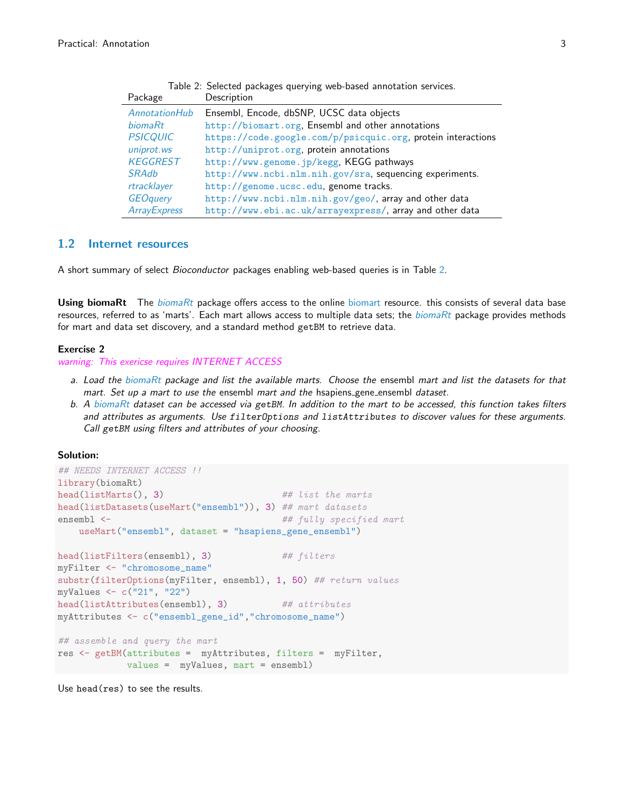<span id="page-2-0"></span>

| Table 2: Selected packages querying web-based annotation services. |                                                             |  |  |  |  |
|--------------------------------------------------------------------|-------------------------------------------------------------|--|--|--|--|
| Package                                                            | Description                                                 |  |  |  |  |
| <i>AnnotationHub</i>                                               | Ensembl, Encode, dbSNP, UCSC data objects                   |  |  |  |  |
| biomaRt                                                            | http://biomart.org, Ensembl and other annotations           |  |  |  |  |
| <b>PSICQUIC</b>                                                    | https://code.google.com/p/psicquic.org.protein interactions |  |  |  |  |
| uniprot.ws                                                         | http://uniprot.org.protein annotations                      |  |  |  |  |
| <b>KEGGREST</b>                                                    | http://www.genome.jp/kegg, KEGG pathways                    |  |  |  |  |
| <b>SRAdb</b>                                                       | http://www.ncbi.nlm.nih.gov/sra, sequencing experiments.    |  |  |  |  |
| rtracklayer                                                        | http://genome.ucsc.edu, genome tracks.                      |  |  |  |  |
| <b>GEOguery</b>                                                    | http://www.ncbi.nlm.nih.gov/geo/, array and other data      |  |  |  |  |
| <b>ArrayExpress</b>                                                | http://www.ebi.ac.uk/arrayexpress/, array and other data    |  |  |  |  |

### 1.2 Internet resources

A short summary of select Bioconductor packages enabling web-based queries is in Table [2.](#page-2-0)

**Using [biomaRt](http://bioconductor.org/packages/release/bioc/html/biomaRt.html)** The *biomaRt* package offers access to the online [biomart](http://www.biomart.org) resource. this consists of several data base resources, referred to as 'marts'. Each mart allows access to multiple data sets; the  $biomaRt$  package provides methods for mart and data set discovery, and a standard method getBM to retrieve data.

#### Exercise 2

warning: This exericse requires INTERNET ACCESS

- a. Load the [biomaRt](http://bioconductor.org/packages/release/bioc/html/biomaRt.html) package and list the available marts. Choose the ensembl mart and list the datasets for that mart. Set up a mart to use the ensembl mart and the hsapiens gene ensembl dataset.
- b. A [biomaRt](http://bioconductor.org/packages/release/bioc/html/biomaRt.html) dataset can be accessed via getBM. In addition to the mart to be accessed, this function takes filters and attributes as arguments. Use filterOptions and listAttributes to discover values for these arguments. Call getBM using filters and attributes of your choosing.

### Solution:

```
## NEEDS INTERNET ACCESS !!
library(biomaRt)
head(listMarts(), 3) \# ## list the marts
head(listDatasets(useMart("ensembl")), 3) ## mart datasets
ensembl <- # fully specified mart
   useMart("ensembl", dataset = "hsapiens_gene_ensembl")
head(listFilters(ensembl), 3) ## filters
myFilter <- "chromosome_name"
substr(filterOptions(myFilter, ensembl), 1, 50) ## return values
myValues <- c("21", "22")
head(listAttributes(ensembl), 3) ## attributes
myAttributes <- c("ensembl_gene_id","chromosome_name")
## assemble and query the mart
res <- getBM(attributes = myAttributes, filters = myFilter,
           values = myValues, mart = ensembl)
```
Use head(res) to see the results.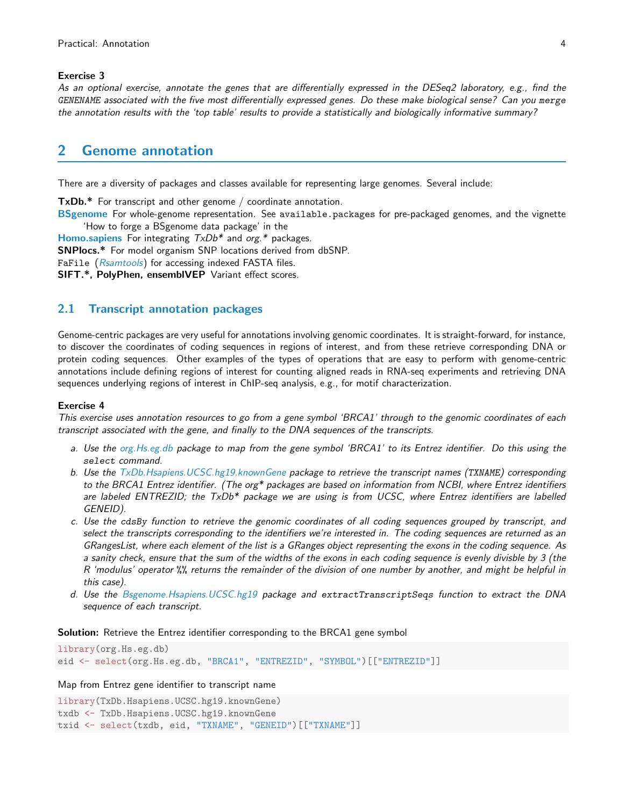#### Exercise 3

As an optional exercise, annotate the genes that are differentially expressed in the DESeq2 laboratory, e.g., find the GENENAME associated with the five most differentially expressed genes. Do these make biological sense? Can you merge the annotation results with the 'top table' results to provide a statistically and biologically informative summary?

## <span id="page-3-0"></span>2 Genome annotation

There are a diversity of packages and classes available for representing large genomes. Several include:

TxDb.\* For transcript and other genome / coordinate annotation.

[BSgenome](http://bioconductor.org/packages/release/bioc/html/BSgenome.html) For whole-genome representation. See available.packages for pre-packaged genomes, and the vignette 'How to forge a BSgenome data package' in the

**[Homo.sapiens](http://bioconductor.org/packages/release/data/annotation/html/Homo.sapiens.html)** For integrating  $TxDb^*$  and org.\* packages.

SNPlocs.\* For model organism SNP locations derived from dbSNP.

FaFile ([Rsamtools](http://bioconductor.org/packages/release/bioc/html/Rsamtools.html)) for accessing indexed FASTA files.

SIFT.\*, PolyPhen, ensemblVEP Variant effect scores.

## <span id="page-3-1"></span>2.1 Transcript annotation packages

Genome-centric packages are very useful for annotations involving genomic coordinates. It is straight-forward, for instance, to discover the coordinates of coding sequences in regions of interest, and from these retrieve corresponding DNA or protein coding sequences. Other examples of the types of operations that are easy to perform with genome-centric annotations include defining regions of interest for counting aligned reads in RNA-seq experiments and retrieving DNA sequences underlying regions of interest in ChIP-seq analysis, e.g., for motif characterization.

#### Exercise 4

This exercise uses annotation resources to go from a gene symbol 'BRCA1' through to the genomic coordinates of each transcript associated with the gene, and finally to the DNA sequences of the transcripts.

- a. Use the [org.Hs.eg.db](http://bioconductor.org/packages/release/data/annotation/html/org.Hs.eg.db.html) package to map from the gene symbol 'BRCA1' to its Entrez identifier. Do this using the select command.
- b. Use the [TxDb.Hsapiens.UCSC.hg19.knownGene](http://bioconductor.org/packages/release/data/annotation/html/TxDb.Hsapiens.UCSC.hg19.knownGene.html) package to retrieve the transcript names (TXNAME) corresponding to the BRCA1 Entrez identifier. (The org\* packages are based on information from NCBI, where Entrez identifiers are labeled ENTREZID; the TxDb\* package we are using is from UCSC, where Entrez identifiers are labelled GENEID).
- c. Use the cdsBy function to retrieve the genomic coordinates of all coding sequences grouped by transcript, and select the transcripts corresponding to the identifiers we're interested in. The coding sequences are returned as an GRangesList, where each element of the list is a GRanges object representing the exons in the coding sequence. As a sanity check, ensure that the sum of the widths of the exons in each coding sequence is evenly divisble by 3 (the R 'modulus' operator %% returns the remainder of the division of one number by another, and might be helpful in this case).
- d. Use the [Bsgenome.Hsapiens.UCSC.hg19](http://bioconductor.org/packages/release/data/annotation/html/Bsgenome.Hsapiens.UCSC.hg19.html) package and extractTranscriptSeqs function to extract the DNA sequence of each transcript.

Solution: Retrieve the Entrez identifier corresponding to the BRCA1 gene symbol

library(org.Hs.eg.db) eid <- select(org.Hs.eg.db, "BRCA1", "ENTREZID", "SYMBOL")[["ENTREZID"]]

#### Map from Entrez gene identifier to transcript name

library(TxDb.Hsapiens.UCSC.hg19.knownGene) txdb <- TxDb.Hsapiens.UCSC.hg19.knownGene txid <- select(txdb, eid, "TXNAME", "GENEID")[["TXNAME"]]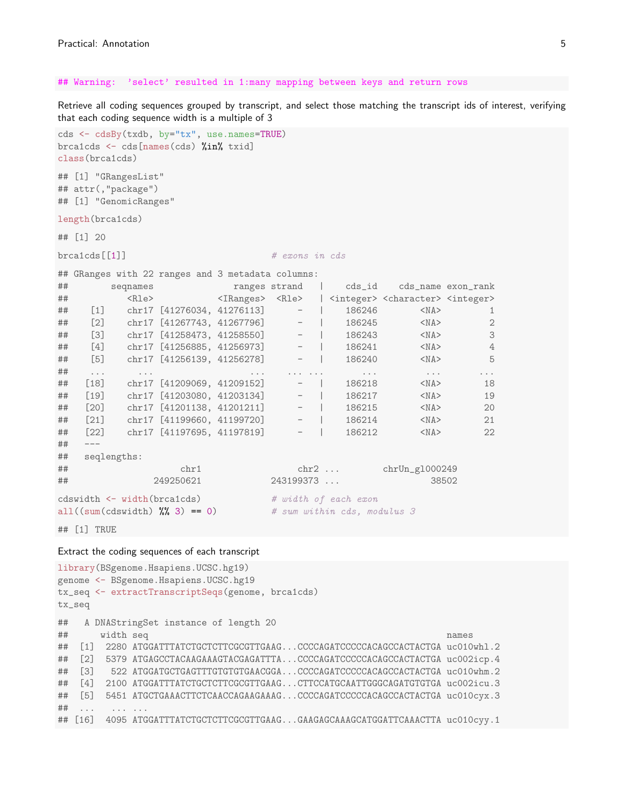#### ## Warning: 'select' resulted in 1:many mapping between keys and return rows

Retrieve all coding sequences grouped by transcript, and select those matching the transcript ids of interest, verifying that each coding sequence width is a multiple of 3

```
cds <- cdsBy(txdb, by="tx", use.names=TRUE)
brca1cds <- cds[names(cds) %in% txid]
class(brca1cds)
## [1] "GRangesList"
## attr(,"package")
## [1] "GenomicRanges"
length(brca1cds)
## [1] 20
\text{breaks}[[1]] \qquad \qquad \# \text{ exons in } \text{cls}## GRanges with 22 ranges and 3 metadata columns:
## seqnames ranges strand | cds_id cds_name exon_rank
## <Rle> <IRanges> <Rle> | <integer> <character> <integer>
## [1] chr17 [41276034, 41276113] - | 186246 <NA> 1
## [2] chr17 [41267743, 41267796] - | 186245 <NA> 2
## [3] chr17 [41258473, 41258550] - | 186243 <NA> 3
## [4] chr17 [41256885, 41256973] - | 186241 <NA> 4
## [5] chr17 [41256139, 41256278] - | 186240 <NA> 5
## ... ... ... ... ... ... ... ...
## [18] chr17 [41209069, 41209152] - | 186218 <NA> 18
## [19] chr17 [41203080, 41203134] - | 186217 <NA> 19
## [20] chr17 [41201138, 41201211] - | 186215 <NA> 20
## [21] chr17 [41199660, 41199720] - | 186214 <NA> 21
## [22] chr17 [41197695, 41197819] - | 186212 <NA> 22
## ---
## seqlengths:
## chr1 chr2 ... chrUn_gl000249
## 249250621 243199373 ... 38502
cdswidth <- width(brca1cds) # width of each exon
all((sum(cdswidth) \frac{1}{10} \frac{1}{20} = 0) # sum within cds, modulus 3
```
## [1] TRUE

#### Extract the coding sequences of each transcript

```
library(BSgenome.Hsapiens.UCSC.hg19)
genome <- BSgenome.Hsapiens.UCSC.hg19
tx_seq <- extractTranscriptSeqs(genome, brca1cds)
tx_seq
## A DNAStringSet instance of length 20
## width seq names
## [1] 2280 ATGGATTTATCTGCTCTTCGCGTTGAAG...CCCCAGATCCCCCACAGCCACTACTGA uc010whl.2
## [2] 5379 ATGAGCCTACAAGAAAGTACGAGATTTA...CCCCAGATCCCCCACAGCCACTACTGA uc002icp.4
## [3] 522 ATGGATGCTGAGTTTGTGTGTGAACGGA...CCCCAGATCCCCCACAGCCACTACTGA uc010whm.2
## [4] 2100 ATGGATTTATCTGCTCTTCGCGTTGAAG...CTTCCATGCAATTGGGCAGATGTGTGA uc002icu.3
## [5] 5451 ATGCTGAAACTTCTCAACCAGAAGAAAG...CCCCAGATCCCCCACAGCCACTACTGA uc010cyx.3
## ... ... ...
## [16] 4095 ATGGATTTATCTGCTCTTCGCGTTGAAG...GAAGAGCAAAGCATGGATTCAAACTTA uc010cyy.1
```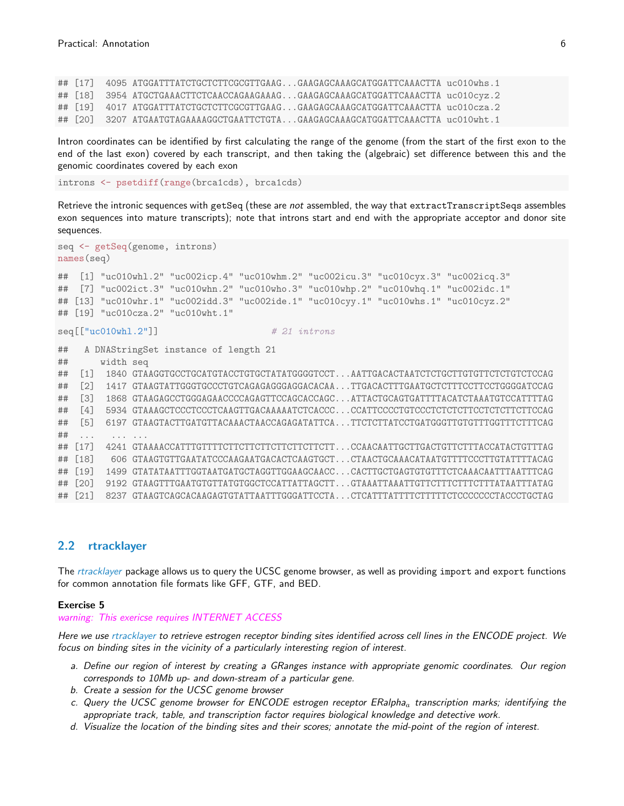## [17] 4095 ATGGATTTATCTGCTCTTCGCGTTGAAG...GAAGAGCAAAGCATGGATTCAAACTTA uc010whs.1 ## [18] 3954 ATGCTGAAACTTCTCAACCAGAAGAAAG...GAAGAGCAAAGCATGGATTCAAACTTA uc010cyz.2 ## [19] 4017 ATGGATTTATCTGCTCTTCGCGTTGAAG...GAAGAGCAAAGCATGGATTCAAACTTA uc010cza.2 ## [20] 3207 ATGAATGTAGAAAAGGCTGAATTCTGTA...GAAGAGCAAAGCATGGATTCAAACTTA uc010wht.1

Intron coordinates can be identified by first calculating the range of the genome (from the start of the first exon to the end of the last exon) covered by each transcript, and then taking the (algebraic) set difference between this and the genomic coordinates covered by each exon

introns <- psetdiff(range(brca1cds), brca1cds)

Retrieve the intronic sequences with getSeq (these are not assembled, the way that extractTranscriptSeqs assembles exon sequences into mature transcripts); note that introns start and end with the appropriate acceptor and donor site sequences.

```
seq <- getSeq(genome, introns)
names(seq)
## [1] "uc010whl.2" "uc002icp.4" "uc010whm.2" "uc002icu.3" "uc010cyx.3" "uc002icq.3"
## [7] "uc002ict.3" "uc010whn.2" "uc010who.3" "uc010whp.2" "uc010whq.1" "uc002idc.1"
## [13] "uc010whr.1" "uc002idd.3" "uc002ide.1" "uc010cyy.1" "uc010whs.1" "uc010cyz.2"
## [19] "uc010cza.2" "uc010wht.1"
seq[["uc010wh1.2"]] \# 21 introns
## A DNAStringSet instance of length 21
## width seq
## [1] 1840 GTAAGGTGCCTGCATGTACCTGTGCTATATGGGGTCCT...AATTGACACTAATCTCTGCTTGTGTTCTCTGTCTCCAG
## [2] 1417 GTAAGTATTGGGTGCCCTGTCAGAGAGGGAGGACACAA...TTGACACTTTGAATGCTCTTTCCTTCCTGGGGATCCAG
## [3] 1868 GTAAGAGCCTGGGAGAACCCCAGAGTTCCAGCACCAGC...ATTACTGCAGTGATTTTACATCTAAATGTCCATTTTAG
## [4] 5934 GTAAAGCTCCCTCCCTCAAGTTGACAAAAATCTCACCC...CCATTCCCCTGTCCCTCTCTCTTCCTCTCTTCTTCCAG
## [5] 6197 GTAAGTACTTGATGTTACAAACTAACCAGAGATATTCA...TTCTCTTATCCTGATGGGTTGTGTTTGGTTTCTTTCAG
## ... ... ...
## [17] 4241 GTAAAACCATTTGTTTTCTTCTTCTTCTTCTTCTTCTTCTT...CCAACAATTGCTTGACTGTTTTACCATACTGTTTAG
## [18] 606 GTAAGTGTTGAATATCCCAAGAATGACACTCAAGTGCT...CTAACTGCAAACATAATGTTTTCCCTTGTATTTTACAG
## [19] 1499 GTATATAATTTGGTAATGATGCTAGGTTGGAAGCAACC...CACTTGCTGAGTGTGTTTCTCAAACAATTTAATTTCAG
## [20] 9192 GTAAGTTTGAATGTGTTATGTGGCTCCATTATTAGCTT...GTAAATTAAATTGTTCTTTCTTTCTTTATAATTTATAG
## [21] 8237 GTAAGTCAGCACAAGAGTGTATTAATTTGGGATTCCTA...CTCATTTATTTTCTTTTTCTCCCCCCCTACCCTGCTAG
```
## <span id="page-5-0"></span>2.2 rtracklayer

The [rtracklayer](http://bioconductor.org/packages/release/bioc/html/rtracklayer.html) package allows us to query the UCSC genome browser, as well as providing import and export functions for common annotation file formats like GFF, GTF, and BED.

#### Exercise 5

warning: This exericse requires INTERNET ACCESS

Here we use [rtracklayer](http://bioconductor.org/packages/release/bioc/html/rtracklayer.html) to retrieve estrogen receptor binding sites identified across cell lines in the ENCODE project. We focus on binding sites in the vicinity of a particularly interesting region of interest.

- a. Define our region of interest by creating a GRanges instance with appropriate genomic coordinates. Our region corresponds to 10Mb up- and down-stream of a particular gene.
- b. Create a session for the UCSC genome browser
- c. Query the UCSC genome browser for ENCODE estrogen receptor  $ERalph a_a$  transcription marks; identifying the appropriate track, table, and transcription factor requires biological knowledge and detective work.
- d. Visualize the location of the binding sites and their scores; annotate the mid-point of the region of interest.